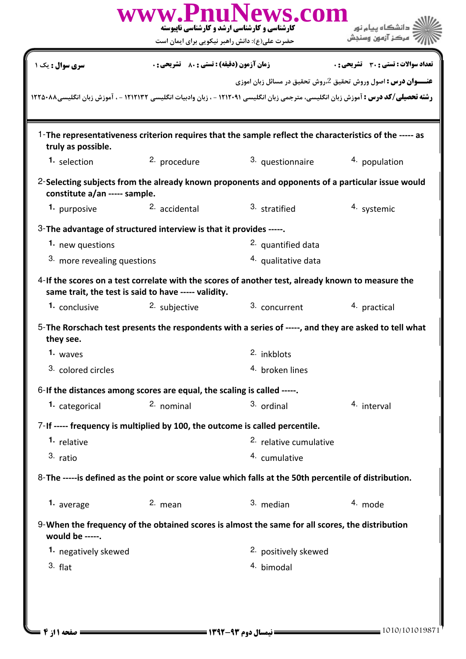| <b>زمان آزمون (دقیقه) : تستی : 80 ٪ تشریحی : 0</b><br>سری سوال : یک ۱<br>1-The representativeness criterion requires that the sample reflect the characteristics of the ----- as<br>truly as possible.<br>3. questionnaire<br>2. procedure<br>1. selection<br>4. population<br>2-Selecting subjects from the already known proponents and opponents of a particular issue would<br>constitute a/an ----- sample.<br>3. stratified<br>2. accidental<br>4. systemic<br>1. purposive<br>3-The advantage of structured interview is that it provides -----.<br>2. quantified data<br>1. new questions<br>3. more revealing questions<br>4. qualitative data<br>4-If the scores on a test correlate with the scores of another test, already known to measure the<br>same trait, the test is said to have ----- validity.<br>3. concurrent<br>2. subjective<br>4. practical<br>1. conclusive<br>5-The Rorschach test presents the respondents with a series of -----, and they are asked to tell what<br>they see.<br>1. waves<br>2. inkblots<br>3. colored circles<br>4. broken lines<br>6-If the distances among scores are equal, the scaling is called -----.<br>2. nominal<br>3. ordinal<br>1. categorical<br>4. interval<br>7-If ----- frequency is multiplied by 100, the outcome is called percentile.<br>1. relative<br><sup>2.</sup> relative cumulative<br>3. ratio<br>4. cumulative<br>8-The -----is defined as the point or score value which falls at the 50th percentile of distribution.<br>2. mean<br>3. median<br>4. mode<br>1. average<br>9-When the frequency of the obtained scores is almost the same for all scores, the distribution<br>would be -----.<br><sup>2.</sup> positively skewed<br>1. negatively skewed | www.PnuNews.com<br>دانشگاه بیام نور<br><b>کارشناسی و کارشناسی ارشد و کارشناسی ناپیوسته</b><br>مركز آزمون وسنجش<br>حضرت علی(ع): دانش راهبر نیکویی برای ایمان است |           |
|---------------------------------------------------------------------------------------------------------------------------------------------------------------------------------------------------------------------------------------------------------------------------------------------------------------------------------------------------------------------------------------------------------------------------------------------------------------------------------------------------------------------------------------------------------------------------------------------------------------------------------------------------------------------------------------------------------------------------------------------------------------------------------------------------------------------------------------------------------------------------------------------------------------------------------------------------------------------------------------------------------------------------------------------------------------------------------------------------------------------------------------------------------------------------------------------------------------------------------------------------------------------------------------------------------------------------------------------------------------------------------------------------------------------------------------------------------------------------------------------------------------------------------------------------------------------------------------------------------------------------------------------------------------------------------------------------------------------------------------|-----------------------------------------------------------------------------------------------------------------------------------------------------------------|-----------|
| <b>رشته تحصیلی/کد درس :</b> آموزش زبان انگلیسی، مترجمی زبان انگلیسی ۱۲۱۲۰۹۱ - ، زبان وادبیات انگلیسی ۱۲۱۲۱۳۲ - ، آموزش زبان انگلیسی۱۲۲۵۰۸۸                                                                                                                                                                                                                                                                                                                                                                                                                                                                                                                                                                                                                                                                                                                                                                                                                                                                                                                                                                                                                                                                                                                                                                                                                                                                                                                                                                                                                                                                                                                                                                                            | <b>تعداد سوالات : تستی : 30 ٪ تشریحی : 0</b>                                                                                                                    |           |
|                                                                                                                                                                                                                                                                                                                                                                                                                                                                                                                                                                                                                                                                                                                                                                                                                                                                                                                                                                                                                                                                                                                                                                                                                                                                                                                                                                                                                                                                                                                                                                                                                                                                                                                                       | <b>عنـــوان درس :</b> اصول وروش تحقیق 2،روش تحقیق در مسائل زبان اموزی                                                                                           |           |
|                                                                                                                                                                                                                                                                                                                                                                                                                                                                                                                                                                                                                                                                                                                                                                                                                                                                                                                                                                                                                                                                                                                                                                                                                                                                                                                                                                                                                                                                                                                                                                                                                                                                                                                                       |                                                                                                                                                                 |           |
|                                                                                                                                                                                                                                                                                                                                                                                                                                                                                                                                                                                                                                                                                                                                                                                                                                                                                                                                                                                                                                                                                                                                                                                                                                                                                                                                                                                                                                                                                                                                                                                                                                                                                                                                       |                                                                                                                                                                 |           |
|                                                                                                                                                                                                                                                                                                                                                                                                                                                                                                                                                                                                                                                                                                                                                                                                                                                                                                                                                                                                                                                                                                                                                                                                                                                                                                                                                                                                                                                                                                                                                                                                                                                                                                                                       |                                                                                                                                                                 |           |
|                                                                                                                                                                                                                                                                                                                                                                                                                                                                                                                                                                                                                                                                                                                                                                                                                                                                                                                                                                                                                                                                                                                                                                                                                                                                                                                                                                                                                                                                                                                                                                                                                                                                                                                                       |                                                                                                                                                                 |           |
|                                                                                                                                                                                                                                                                                                                                                                                                                                                                                                                                                                                                                                                                                                                                                                                                                                                                                                                                                                                                                                                                                                                                                                                                                                                                                                                                                                                                                                                                                                                                                                                                                                                                                                                                       |                                                                                                                                                                 |           |
|                                                                                                                                                                                                                                                                                                                                                                                                                                                                                                                                                                                                                                                                                                                                                                                                                                                                                                                                                                                                                                                                                                                                                                                                                                                                                                                                                                                                                                                                                                                                                                                                                                                                                                                                       |                                                                                                                                                                 |           |
|                                                                                                                                                                                                                                                                                                                                                                                                                                                                                                                                                                                                                                                                                                                                                                                                                                                                                                                                                                                                                                                                                                                                                                                                                                                                                                                                                                                                                                                                                                                                                                                                                                                                                                                                       |                                                                                                                                                                 |           |
|                                                                                                                                                                                                                                                                                                                                                                                                                                                                                                                                                                                                                                                                                                                                                                                                                                                                                                                                                                                                                                                                                                                                                                                                                                                                                                                                                                                                                                                                                                                                                                                                                                                                                                                                       |                                                                                                                                                                 |           |
|                                                                                                                                                                                                                                                                                                                                                                                                                                                                                                                                                                                                                                                                                                                                                                                                                                                                                                                                                                                                                                                                                                                                                                                                                                                                                                                                                                                                                                                                                                                                                                                                                                                                                                                                       |                                                                                                                                                                 |           |
|                                                                                                                                                                                                                                                                                                                                                                                                                                                                                                                                                                                                                                                                                                                                                                                                                                                                                                                                                                                                                                                                                                                                                                                                                                                                                                                                                                                                                                                                                                                                                                                                                                                                                                                                       |                                                                                                                                                                 |           |
|                                                                                                                                                                                                                                                                                                                                                                                                                                                                                                                                                                                                                                                                                                                                                                                                                                                                                                                                                                                                                                                                                                                                                                                                                                                                                                                                                                                                                                                                                                                                                                                                                                                                                                                                       |                                                                                                                                                                 |           |
|                                                                                                                                                                                                                                                                                                                                                                                                                                                                                                                                                                                                                                                                                                                                                                                                                                                                                                                                                                                                                                                                                                                                                                                                                                                                                                                                                                                                                                                                                                                                                                                                                                                                                                                                       |                                                                                                                                                                 |           |
|                                                                                                                                                                                                                                                                                                                                                                                                                                                                                                                                                                                                                                                                                                                                                                                                                                                                                                                                                                                                                                                                                                                                                                                                                                                                                                                                                                                                                                                                                                                                                                                                                                                                                                                                       |                                                                                                                                                                 |           |
|                                                                                                                                                                                                                                                                                                                                                                                                                                                                                                                                                                                                                                                                                                                                                                                                                                                                                                                                                                                                                                                                                                                                                                                                                                                                                                                                                                                                                                                                                                                                                                                                                                                                                                                                       |                                                                                                                                                                 |           |
|                                                                                                                                                                                                                                                                                                                                                                                                                                                                                                                                                                                                                                                                                                                                                                                                                                                                                                                                                                                                                                                                                                                                                                                                                                                                                                                                                                                                                                                                                                                                                                                                                                                                                                                                       |                                                                                                                                                                 |           |
|                                                                                                                                                                                                                                                                                                                                                                                                                                                                                                                                                                                                                                                                                                                                                                                                                                                                                                                                                                                                                                                                                                                                                                                                                                                                                                                                                                                                                                                                                                                                                                                                                                                                                                                                       |                                                                                                                                                                 |           |
|                                                                                                                                                                                                                                                                                                                                                                                                                                                                                                                                                                                                                                                                                                                                                                                                                                                                                                                                                                                                                                                                                                                                                                                                                                                                                                                                                                                                                                                                                                                                                                                                                                                                                                                                       |                                                                                                                                                                 |           |
|                                                                                                                                                                                                                                                                                                                                                                                                                                                                                                                                                                                                                                                                                                                                                                                                                                                                                                                                                                                                                                                                                                                                                                                                                                                                                                                                                                                                                                                                                                                                                                                                                                                                                                                                       |                                                                                                                                                                 |           |
|                                                                                                                                                                                                                                                                                                                                                                                                                                                                                                                                                                                                                                                                                                                                                                                                                                                                                                                                                                                                                                                                                                                                                                                                                                                                                                                                                                                                                                                                                                                                                                                                                                                                                                                                       |                                                                                                                                                                 |           |
|                                                                                                                                                                                                                                                                                                                                                                                                                                                                                                                                                                                                                                                                                                                                                                                                                                                                                                                                                                                                                                                                                                                                                                                                                                                                                                                                                                                                                                                                                                                                                                                                                                                                                                                                       |                                                                                                                                                                 |           |
|                                                                                                                                                                                                                                                                                                                                                                                                                                                                                                                                                                                                                                                                                                                                                                                                                                                                                                                                                                                                                                                                                                                                                                                                                                                                                                                                                                                                                                                                                                                                                                                                                                                                                                                                       |                                                                                                                                                                 |           |
|                                                                                                                                                                                                                                                                                                                                                                                                                                                                                                                                                                                                                                                                                                                                                                                                                                                                                                                                                                                                                                                                                                                                                                                                                                                                                                                                                                                                                                                                                                                                                                                                                                                                                                                                       | 4. bimodal                                                                                                                                                      | $3.$ flat |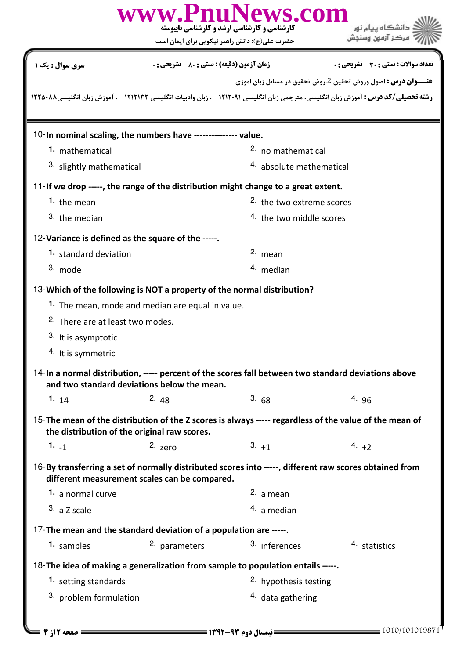|                                                                                                                                                                                                                     | <b>کارشناسی و کارشناسی ارشد و کارشناسی ناپیوسته</b><br>حضرت علی(ع): دانش راهبر نیکویی برای ایمان است | www.PnuNews.com                     |                                       |  |  |  |  |
|---------------------------------------------------------------------------------------------------------------------------------------------------------------------------------------------------------------------|------------------------------------------------------------------------------------------------------|-------------------------------------|---------------------------------------|--|--|--|--|
| <b>سری سوال :</b> یک ۱                                                                                                                                                                                              | <b>زمان آزمون (دقیقه) : تستی : 80 ٪ تشریحی : 0</b>                                                   |                                     | تعداد سوالات : تستي : 30 ٪ تشريحي : 0 |  |  |  |  |
| <b>عنـــوان درس :</b> اصول وروش تحقیق 2،روش تحقیق در مسائل زبان اموزی<br><b>رشته تحصیلی/کد درس :</b> آموزش زبان انگلیسی، مترجمی زبان انگلیسی ۱۲۱۲۰۹۱ - ، زبان وادبیات انگلیسی ۱۲۱۲۱۳۲ - ، آموزش زبان انگلیسی۱۲۲۵۰۸۸ |                                                                                                      |                                     |                                       |  |  |  |  |
| 10-In nominal scaling, the numbers have --------------- value.                                                                                                                                                      |                                                                                                      |                                     |                                       |  |  |  |  |
| 1. mathematical                                                                                                                                                                                                     |                                                                                                      | <sup>2.</sup> no mathematical       |                                       |  |  |  |  |
| 3. slightly mathematical                                                                                                                                                                                            |                                                                                                      | 4. absolute mathematical            |                                       |  |  |  |  |
| 11-If we drop -----, the range of the distribution might change to a great extent.                                                                                                                                  |                                                                                                      |                                     |                                       |  |  |  |  |
| 1. the mean                                                                                                                                                                                                         |                                                                                                      | <sup>2</sup> the two extreme scores |                                       |  |  |  |  |
| 3. the median                                                                                                                                                                                                       |                                                                                                      | 4. the two middle scores            |                                       |  |  |  |  |
| 12-Variance is defined as the square of the -----.                                                                                                                                                                  |                                                                                                      |                                     |                                       |  |  |  |  |
| 1. standard deviation                                                                                                                                                                                               |                                                                                                      | 2. mean                             |                                       |  |  |  |  |
| 3. mode                                                                                                                                                                                                             |                                                                                                      | 4. median                           |                                       |  |  |  |  |
| 13-Which of the following is NOT a property of the normal distribution?                                                                                                                                             |                                                                                                      |                                     |                                       |  |  |  |  |
|                                                                                                                                                                                                                     | 1. The mean, mode and median are equal in value.                                                     |                                     |                                       |  |  |  |  |
| <sup>2.</sup> There are at least two modes.                                                                                                                                                                         |                                                                                                      |                                     |                                       |  |  |  |  |
| 3. It is asymptotic                                                                                                                                                                                                 |                                                                                                      |                                     |                                       |  |  |  |  |
| 4. It is symmetric                                                                                                                                                                                                  |                                                                                                      |                                     |                                       |  |  |  |  |
| 14-In a normal distribution, ----- percent of the scores fall between two standard deviations above<br>and two standard deviations below the mean.                                                                  |                                                                                                      |                                     |                                       |  |  |  |  |
| 1. $14$                                                                                                                                                                                                             | 2.48                                                                                                 | 3.68                                | 4. $96$                               |  |  |  |  |
| 15-The mean of the distribution of the Z scores is always ----- regardless of the value of the mean of<br>the distribution of the original raw scores.                                                              |                                                                                                      |                                     |                                       |  |  |  |  |
| $1. -1$                                                                                                                                                                                                             | $2.$ zero                                                                                            | $3. +1$                             | 4. $+2$                               |  |  |  |  |
| 16-By transferring a set of normally distributed scores into -----, different raw scores obtained from                                                                                                              | different measurement scales can be compared.                                                        |                                     |                                       |  |  |  |  |
| 1. a normal curve                                                                                                                                                                                                   |                                                                                                      | 2. a mean                           |                                       |  |  |  |  |
| 3. a Z scale                                                                                                                                                                                                        |                                                                                                      | $4.$ a median                       |                                       |  |  |  |  |
| 17-The mean and the standard deviation of a population are -----.                                                                                                                                                   |                                                                                                      |                                     |                                       |  |  |  |  |
| 1. samples                                                                                                                                                                                                          | 2. parameters                                                                                        | 3. inferences                       | 4. statistics                         |  |  |  |  |
| 18-The idea of making a generalization from sample to population entails -----.                                                                                                                                     |                                                                                                      |                                     |                                       |  |  |  |  |
| 1. setting standards                                                                                                                                                                                                |                                                                                                      | <sup>2.</sup> hypothesis testing    |                                       |  |  |  |  |
| <sup>3</sup> problem formulation                                                                                                                                                                                    |                                                                                                      | <sup>4.</sup> data gathering        |                                       |  |  |  |  |
|                                                                                                                                                                                                                     |                                                                                                      |                                     |                                       |  |  |  |  |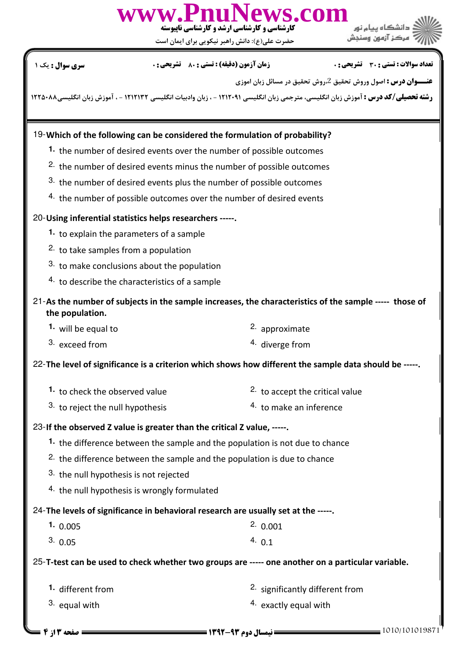

حضرت علي(ع): دانش راهبر نيكويي براي ايمان است

تعداد سوالات : تستي تشريحي زمان آزمون (دقيقه) : تستي تشريحي سري سوال . / 1: 21: 1 01: : :

**عنـــوان درس :** اصول وروش تحقيق 2،روش تحقيق در مسائل زبان اموزي

ر**شته تحصیلی/کد درس :** آموزش زبان انگلیسی، مترجمی زبان انگلیسی ۱۲۱۲۰۹۱ - ، زبان وادبیات انگلیسی ۱۲۲۱۲۱۳ - ، آموزش زبان انگلیسی۸۸۰۲۲۲۵۰۸

## Which of the following can be considered the formulation of probability? 19-

- 1. the number of desired events over the number of possible outcomes
- $2.$  the number of desired events minus the number of possible outcomes
- $3.$  the number of desired events plus the number of possible outcomes
- $4.$  the number of possible outcomes over the number of desired events

### 20-Using inferential statistics helps researchers -----.

- 1. to explain the parameters of a sample
- <sup>2.</sup> to take samples from a population
- $3.$  to make conclusions about the population
- $4.$  to describe the characteristics of a sample

# 21-As the number of subjects in the sample increases, the characteristics of the sample ----- those of the population.

- $2.$  approximate **1.** will be equal to
- 4. diverge from  $3.$  exceed from

22-The level of significance is a criterion which shows how different the sample data should be -----.

- $2.$  to accept the critical value 1. to check the observed value
- <sup>3.</sup> to reject the null hypothesis  $\frac{4}{1}$  to make an inference

### 23-If the observed Z value is greater than the critical Z value, -----.

- 1. the difference between the sample and the population is not due to chance
- <sup>2.</sup> the difference between the sample and the population is due to chance
- $3.$  the null hypothesis is not rejected
- $4.$  the null hypothesis is wrongly formulated

### 24-The levels of significance in behavioral research are usually set at the -----.

- $2.0001$ 1. 0.005
- 0.05  $4.01$  $3. \, 0.05$   $4. \, 0.1$

25-T-test can be used to check whether two groups are ----- one another on a particular variable.

- **1.** different from
- $3.$  equal with
- $2.$  significantly different from
- $4.$  exactly equal with